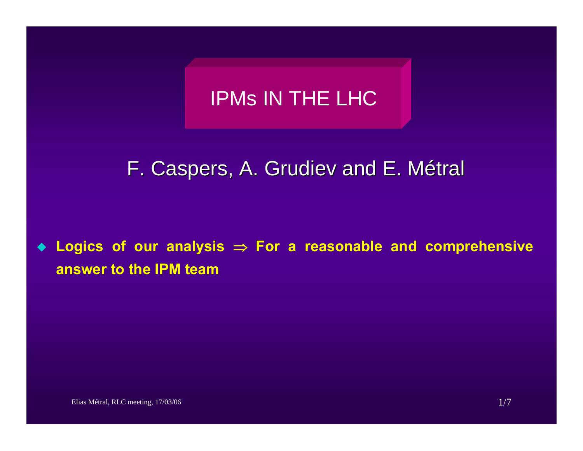# IPMs IN THE LHC

# F. Caspers, A. Grudiev and E. Métral

 **Logics of our analysis** <sup>⇒</sup> **For a reasonable and comprehensive answer to the IPM team**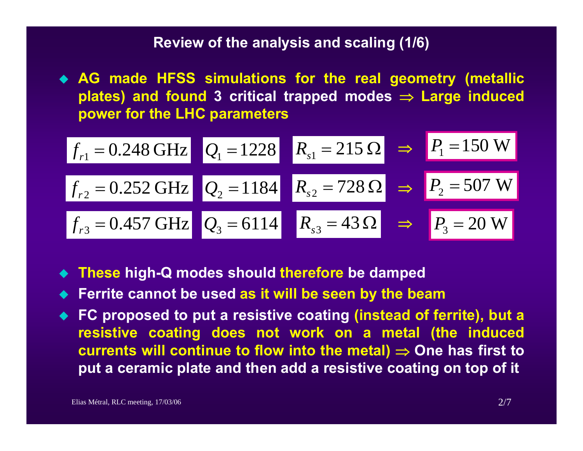## **Review of the analysis and scaling (1/6)**

 **AG made HFSS simulations for the real geometry (metallic plates) and found 3 critical trapped modes** <sup>⇒</sup> **Large induced power for the LHC parameters**

$$
f_{r1} = 0.248 \text{ GHz}
$$
  $Q_1 = 1228$   $R_{s1} = 215 \Omega$   $\Rightarrow$   $P_1 = 150 \text{ W}$   
 $f_{r2} = 0.252 \text{ GHz}$   $Q_2 = 1184$   $R_{s2} = 728 \Omega$   $\Rightarrow$   $P_2 = 507 \text{ W}$   
 $f_{r3} = 0.457 \text{ GHz}$   $Q_3 = 6114$   $R_{s3} = 43 \Omega$   $\Rightarrow$   $P_3 = 20 \text{ W}$ 

- **These high-Q modes should therefore be damped**
- ♦ **Ferrite cannot be used as it will be seen by the beam**
- ◆ FC proposed to put a resistive coating (instead of ferrite), but a **resistive coating does not work on a metal (the induced currents will continue to flow into the metal)** <sup>⇒</sup> **One has first to put a ceramic plate and then add a resistive coating on top of it**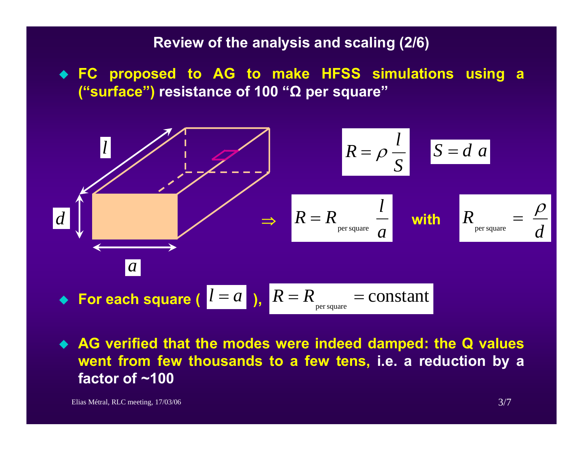## **Review of the analysis and scaling (2/6)**

 **FC proposed to AG to make HFSS simulations using a ("surface") resistance of 100 "Ω per square"**



 **AG verified that the modes were indeed damped: the Q values went from few thousands to a few tens, i.e. a reduction by a factor of ~100**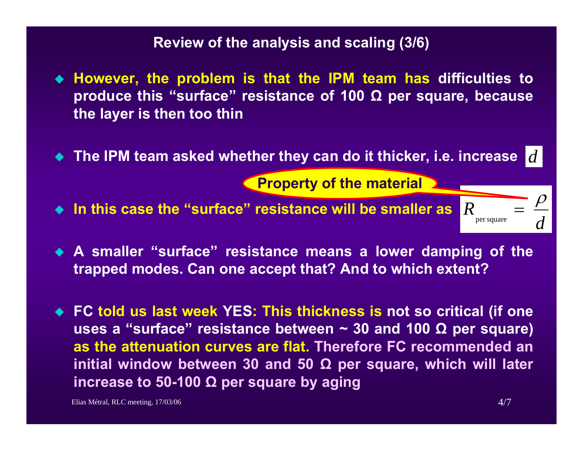#### **Review of the analysis and scaling (3/6)**

- **However, the problem is that the IPM team has difficulties to produce this "surface" resistance of 100 Ω per square, because the layer is then too thin**
- **The IPM team asked whether they can do it thicker, i.e. increase** *d*

**Property of the material**

- **In this case the "surface" resistance will be smaller as** *R*
- **A smaller "surface" resistance means a lower damping of the trapped modes. Can one accept that? And to which extent?**
- **FC told us last week YES: This thickness is not so critical (if one uses a "surface" resistance between ~ 30 and 100 Ω per square) as the attenuation curves are flat. Therefore FC recommended an initial window between 30 and 50 Ω per square, which will later increase to 50-100 Ω per square by aging**

Elias Métral, RLC meeting,  $17/03/06$  4/7

*d*

 $R = \frac{\rho}{\rho}$ 

per square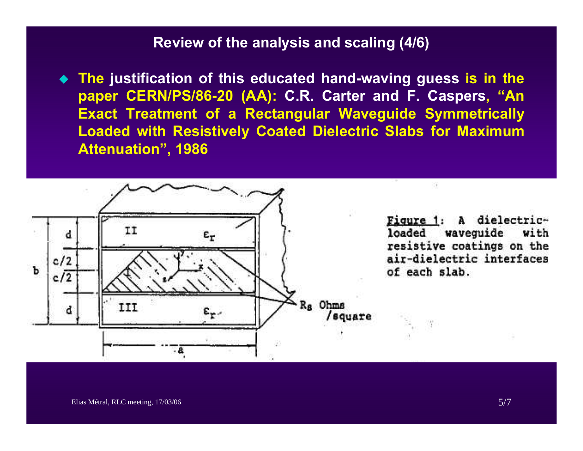#### **Review of the analysis and scaling (4/6)**

 **The justification of this educated hand-waving guess is in the paper CERN/PS/86-20 (AA): C.R. Carter and F. Caspers, "An Exact Treatment of a Rectangular Waveguide Symmetrically Loaded with Resistively Coated Dielectric Slabs for Maximum Attenuation", 1986**

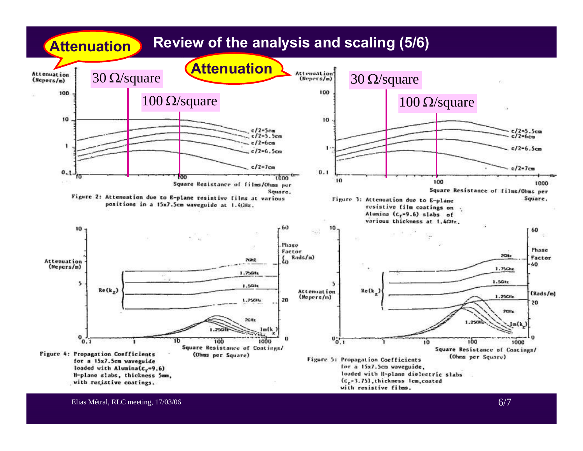

Elias Métral, RLC meeting, 17/03/06 6/7